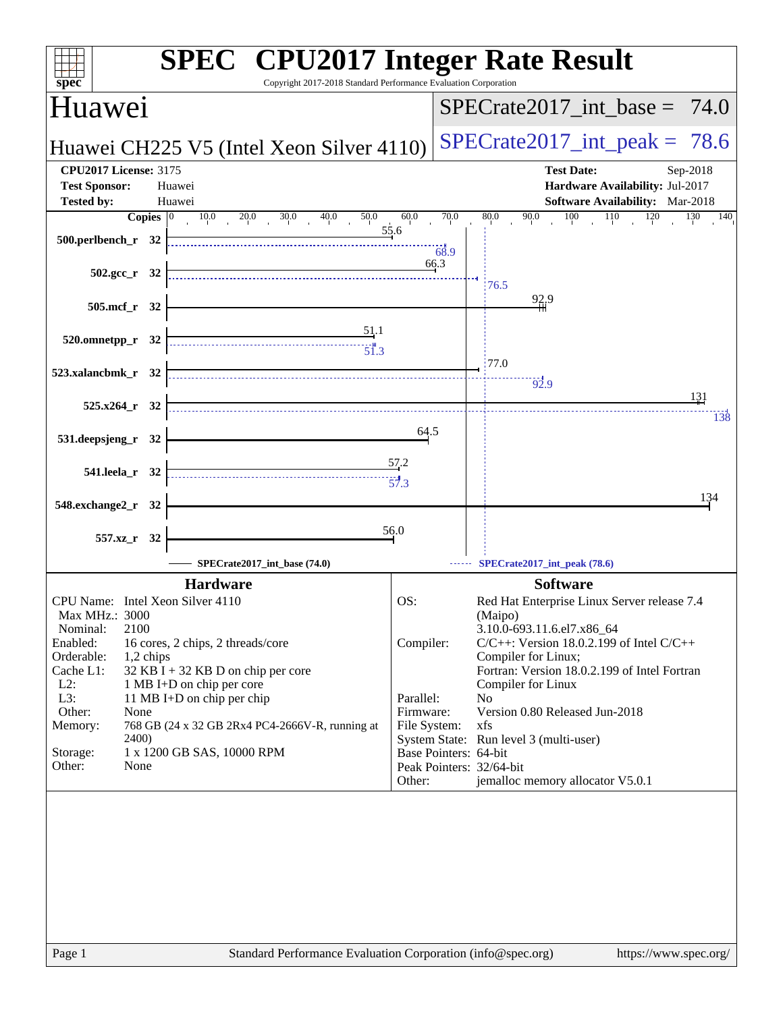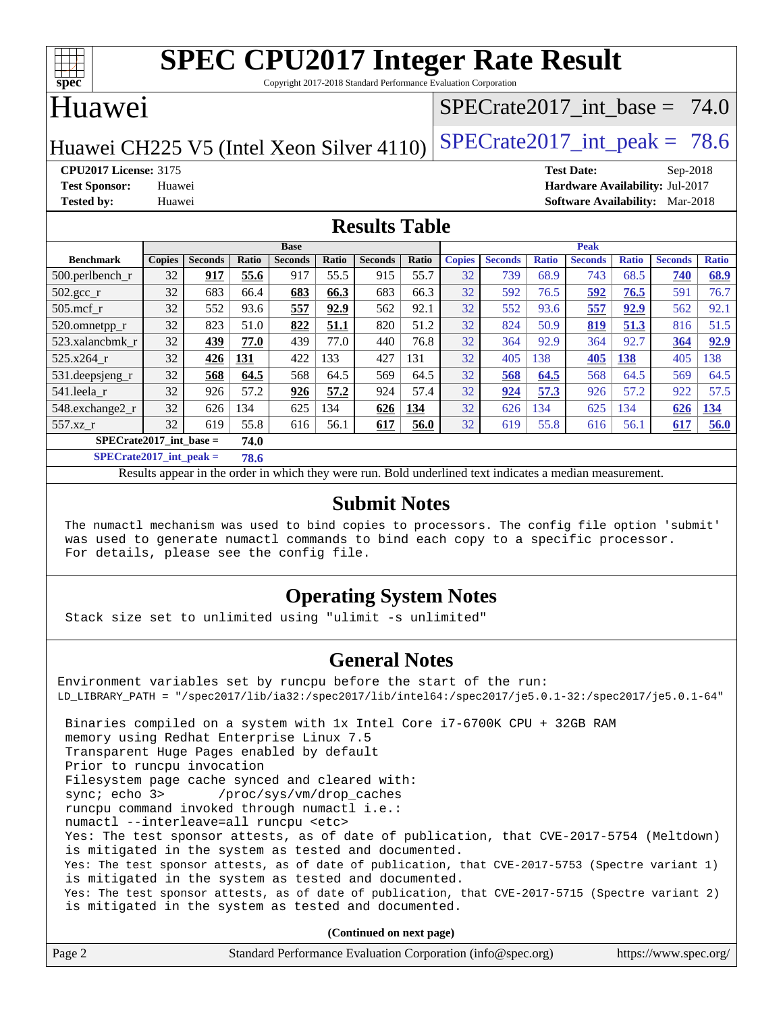

Copyright 2017-2018 Standard Performance Evaluation Corporation

#### Huawei

#### SPECrate2017 int\_base =  $74.0$

Huawei CH225 V5 (Intel Xeon Silver 4110) SPECrate  $2017$ \_int\_peak = 78.6

**[CPU2017 License:](http://www.spec.org/auto/cpu2017/Docs/result-fields.html#CPU2017License)** 3175 **[Test Date:](http://www.spec.org/auto/cpu2017/Docs/result-fields.html#TestDate)** Sep-2018 **[Test Sponsor:](http://www.spec.org/auto/cpu2017/Docs/result-fields.html#TestSponsor)** Huawei **[Hardware Availability:](http://www.spec.org/auto/cpu2017/Docs/result-fields.html#HardwareAvailability)** Jul-2017 **[Tested by:](http://www.spec.org/auto/cpu2017/Docs/result-fields.html#Testedby)** Huawei **[Software Availability:](http://www.spec.org/auto/cpu2017/Docs/result-fields.html#SoftwareAvailability)** Mar-2018

#### **[Results Table](http://www.spec.org/auto/cpu2017/Docs/result-fields.html#ResultsTable)**

|                    | <b>Base</b>                       |                |       |                | <b>Peak</b> |                |       |               |                |              |                |              |                |              |
|--------------------|-----------------------------------|----------------|-------|----------------|-------------|----------------|-------|---------------|----------------|--------------|----------------|--------------|----------------|--------------|
| <b>Benchmark</b>   | <b>Copies</b>                     | <b>Seconds</b> | Ratio | <b>Seconds</b> | Ratio       | <b>Seconds</b> | Ratio | <b>Copies</b> | <b>Seconds</b> | <b>Ratio</b> | <b>Seconds</b> | <b>Ratio</b> | <b>Seconds</b> | <b>Ratio</b> |
| $500$ .perlbench r | 32                                | 917            | 55.6  | 917            | 55.5        | 915            | 55.7  | 32            | 739            | 68.9         | 743            | 68.5         | 740            | 68.9         |
| 502.gcc_r          | 32                                | 683            | 66.4  | 683            | 66.3        | 683            | 66.3  | 32            | 592            | 76.5         | 592            | 76.5         | 591            | 76.7         |
| $505$ .mcf r       | 32                                | 552            | 93.6  | 557            | 92.9        | 562            | 92.1  | 32            | 552            | 93.6         | 557            | 92.9         | 562            | 92.1         |
| 520.omnetpp_r      | 32                                | 823            | 51.0  | 822            | 51.1        | 820            | 51.2  | 32            | 824            | 50.9         | 819            | 51.3         | 816            | 51.5         |
| 523.xalancbmk r    | 32                                | 439            | 77.0  | 439            | 77.0        | 440            | 76.8  | 32            | 364            | 92.9         | 364            | 92.7         | 364            | 92.9         |
| 525.x264 r         | 32                                | 426            | 131   | 422            | 133         | 427            | 131   | 32            | 405            | 138          | 405            | 138          | 405            | 138          |
| 531.deepsjeng_r    | 32                                | 568            | 64.5  | 568            | 64.5        | 569            | 64.5  | 32            | 568            | 64.5         | 568            | 64.5         | 569            | 64.5         |
| 541.leela r        | 32                                | 926            | 57.2  | 926            | 57.2        | 924            | 57.4  | 32            | 924            | 57.3         | 926            | 57.2         | 922            | 57.5         |
| 548.exchange2_r    | 32                                | 626            | 134   | 625            | 134         | 626            | 134   | 32            | 626            | 134          | 625            | 134          | 626            | 134          |
| 557.xz r           | 32                                | 619            | 55.8  | 616            | 56.1        | 617            | 56.0  | 32            | 619            | 55.8         | 616            | 56.1         | 617            | 56.0         |
|                    | $SPECrate2017$ int base =<br>74.0 |                |       |                |             |                |       |               |                |              |                |              |                |              |

**[SPECrate2017\\_int\\_peak =](http://www.spec.org/auto/cpu2017/Docs/result-fields.html#SPECrate2017intpeak) 78.6**

Results appear in the [order in which they were run.](http://www.spec.org/auto/cpu2017/Docs/result-fields.html#RunOrder) Bold underlined text [indicates a median measurement.](http://www.spec.org/auto/cpu2017/Docs/result-fields.html#Median)

#### **[Submit Notes](http://www.spec.org/auto/cpu2017/Docs/result-fields.html#SubmitNotes)**

 The numactl mechanism was used to bind copies to processors. The config file option 'submit' was used to generate numactl commands to bind each copy to a specific processor. For details, please see the config file.

#### **[Operating System Notes](http://www.spec.org/auto/cpu2017/Docs/result-fields.html#OperatingSystemNotes)**

Stack size set to unlimited using "ulimit -s unlimited"

#### **[General Notes](http://www.spec.org/auto/cpu2017/Docs/result-fields.html#GeneralNotes)**

Environment variables set by runcpu before the start of the run: LD\_LIBRARY\_PATH = "/spec2017/lib/ia32:/spec2017/lib/intel64:/spec2017/je5.0.1-32:/spec2017/je5.0.1-64" Binaries compiled on a system with 1x Intel Core i7-6700K CPU + 32GB RAM memory using Redhat Enterprise Linux 7.5 Transparent Huge Pages enabled by default Prior to runcpu invocation Filesystem page cache synced and cleared with: sync; echo 3> /proc/sys/vm/drop\_caches runcpu command invoked through numactl i.e.: numactl --interleave=all runcpu <etc> Yes: The test sponsor attests, as of date of publication, that CVE-2017-5754 (Meltdown) is mitigated in the system as tested and documented. Yes: The test sponsor attests, as of date of publication, that CVE-2017-5753 (Spectre variant 1) is mitigated in the system as tested and documented. Yes: The test sponsor attests, as of date of publication, that CVE-2017-5715 (Spectre variant 2) is mitigated in the system as tested and documented.

**(Continued on next page)**

| Page 2<br>Standard Performance Evaluation Corporation (info@spec.org) | https://www.spec.org/ |
|-----------------------------------------------------------------------|-----------------------|
|-----------------------------------------------------------------------|-----------------------|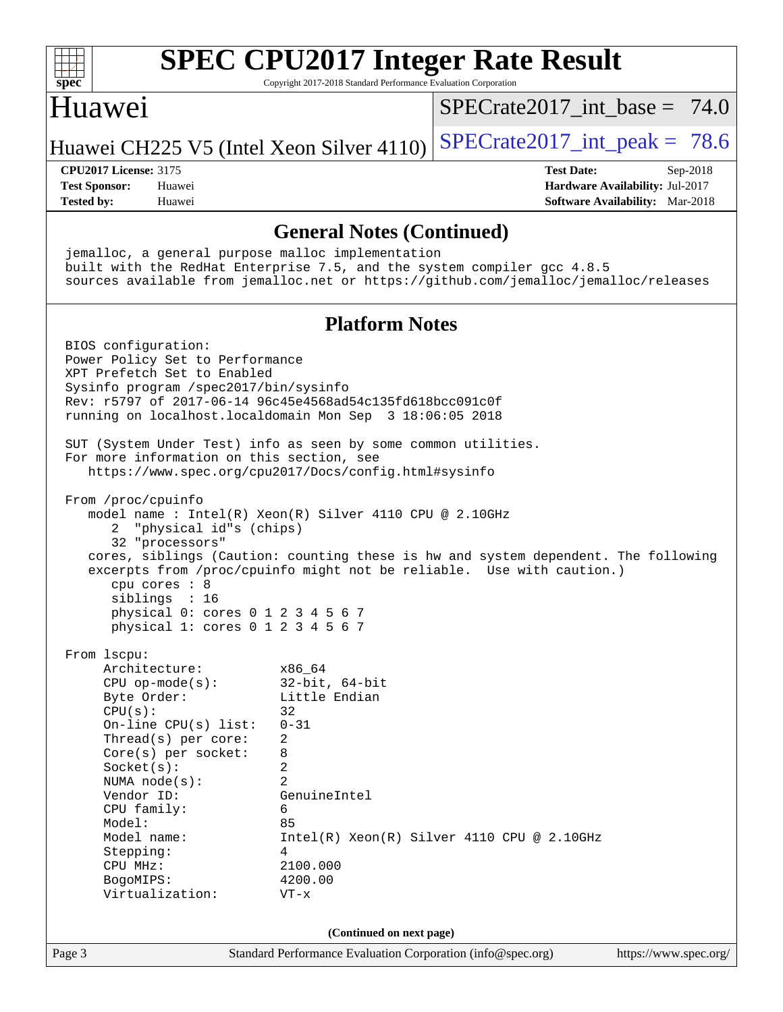| $spec^*$                                                                                                                                                                                                                                                                                                                                                                                                                        | Copyright 2017-2018 Standard Performance Evaluation Corporation                                                                                                       | <b>SPEC CPU2017 Integer Rate Result</b>      |                                                                                       |
|---------------------------------------------------------------------------------------------------------------------------------------------------------------------------------------------------------------------------------------------------------------------------------------------------------------------------------------------------------------------------------------------------------------------------------|-----------------------------------------------------------------------------------------------------------------------------------------------------------------------|----------------------------------------------|---------------------------------------------------------------------------------------|
| Huawei                                                                                                                                                                                                                                                                                                                                                                                                                          |                                                                                                                                                                       | $SPECrate2017$ int base = 74.0               |                                                                                       |
| Huawei CH225 V5 (Intel Xeon Silver 4110)                                                                                                                                                                                                                                                                                                                                                                                        |                                                                                                                                                                       | $SPECrate2017\_int\_peak = 78.6$             |                                                                                       |
| <b>CPU2017 License: 3175</b><br><b>Test Sponsor:</b><br>Huawei<br><b>Tested by:</b><br>Huawei                                                                                                                                                                                                                                                                                                                                   |                                                                                                                                                                       | <b>Test Date:</b>                            | Sep-2018<br>Hardware Availability: Jul-2017<br><b>Software Availability:</b> Mar-2018 |
|                                                                                                                                                                                                                                                                                                                                                                                                                                 |                                                                                                                                                                       |                                              |                                                                                       |
| jemalloc, a general purpose malloc implementation<br>built with the RedHat Enterprise 7.5, and the system compiler gcc 4.8.5<br>sources available from jemalloc.net or https://github.com/jemalloc/jemalloc/releases                                                                                                                                                                                                            | <b>General Notes (Continued)</b>                                                                                                                                      |                                              |                                                                                       |
|                                                                                                                                                                                                                                                                                                                                                                                                                                 | <b>Platform Notes</b>                                                                                                                                                 |                                              |                                                                                       |
| BIOS configuration:<br>Power Policy Set to Performance<br>XPT Prefetch Set to Enabled<br>Sysinfo program /spec2017/bin/sysinfo<br>Rev: r5797 of 2017-06-14 96c45e4568ad54c135fd618bcc091c0f<br>running on localhost.localdomain Mon Sep 3 18:06:05 2018<br>SUT (System Under Test) info as seen by some common utilities.<br>For more information on this section, see<br>https://www.spec.org/cpu2017/Docs/config.html#sysinfo |                                                                                                                                                                       |                                              |                                                                                       |
| From /proc/cpuinfo<br>model name : Intel(R) Xeon(R) Silver 4110 CPU @ 2.10GHz<br>"physical id"s (chips)<br>2<br>32 "processors"<br>cores, siblings (Caution: counting these is hw and system dependent. The following<br>excerpts from /proc/cpuinfo might not be reliable. Use with caution.)<br>cpu cores : 8<br>siblings : 16<br>physical 0: cores 0 1 2 3 4 5 6 7<br>physical 1: cores 0 1 2 3 4 5 6 7                      |                                                                                                                                                                       |                                              |                                                                                       |
| From 1scpu:<br>Architecture:<br>$CPU$ op-mode( $s$ ):<br>Byte Order:<br>CPU(s):<br>On-line CPU(s) list:<br>Thread(s) per core:<br>$Core(s)$ per socket:<br>Socket(s):<br>NUMA $node(s):$<br>Vendor ID:<br>CPU family:<br>Model:<br>Model name:<br>Stepping:<br>CPU MHz:<br>BogoMIPS:<br>Virtualization:                                                                                                                         | x86_64<br>$32$ -bit, $64$ -bit<br>Little Endian<br>32<br>$0 - 31$<br>2<br>8<br>2<br>$\overline{2}$<br>GenuineIntel<br>6<br>85<br>4<br>2100.000<br>4200.00<br>$VT - x$ | $Intel(R) Xeon(R) Silver 4110 CPU @ 2.10GHz$ |                                                                                       |
|                                                                                                                                                                                                                                                                                                                                                                                                                                 | (Continued on next page)                                                                                                                                              |                                              |                                                                                       |
| Page 3                                                                                                                                                                                                                                                                                                                                                                                                                          | Standard Performance Evaluation Corporation (info@spec.org)                                                                                                           |                                              | https://www.spec.org/                                                                 |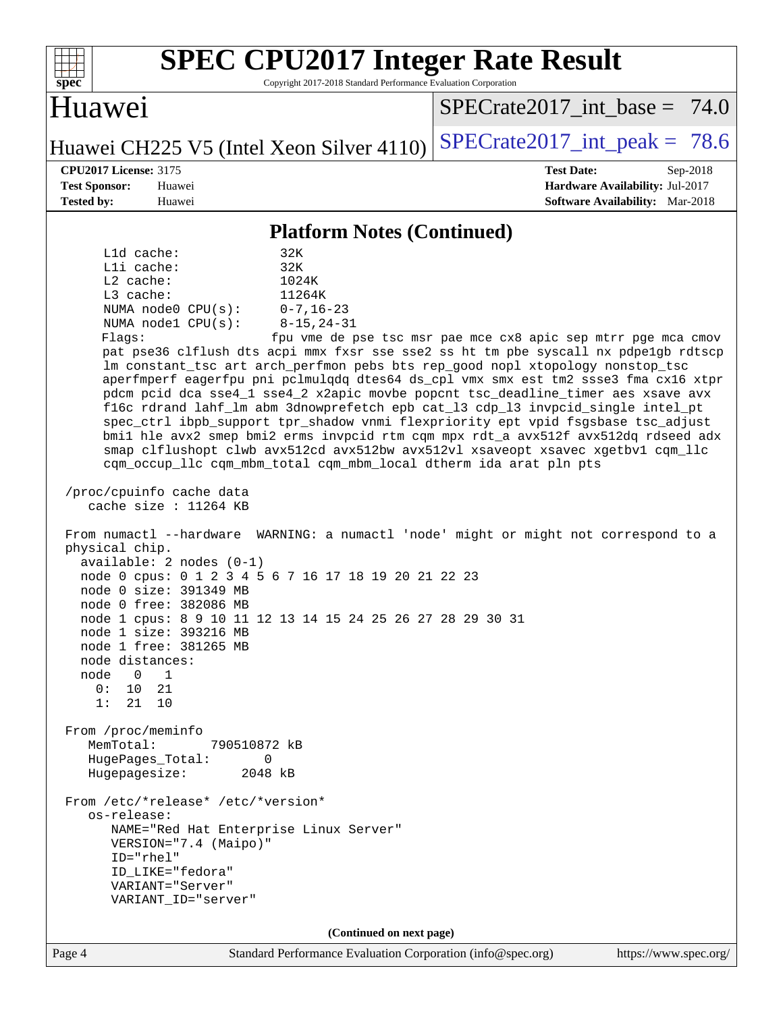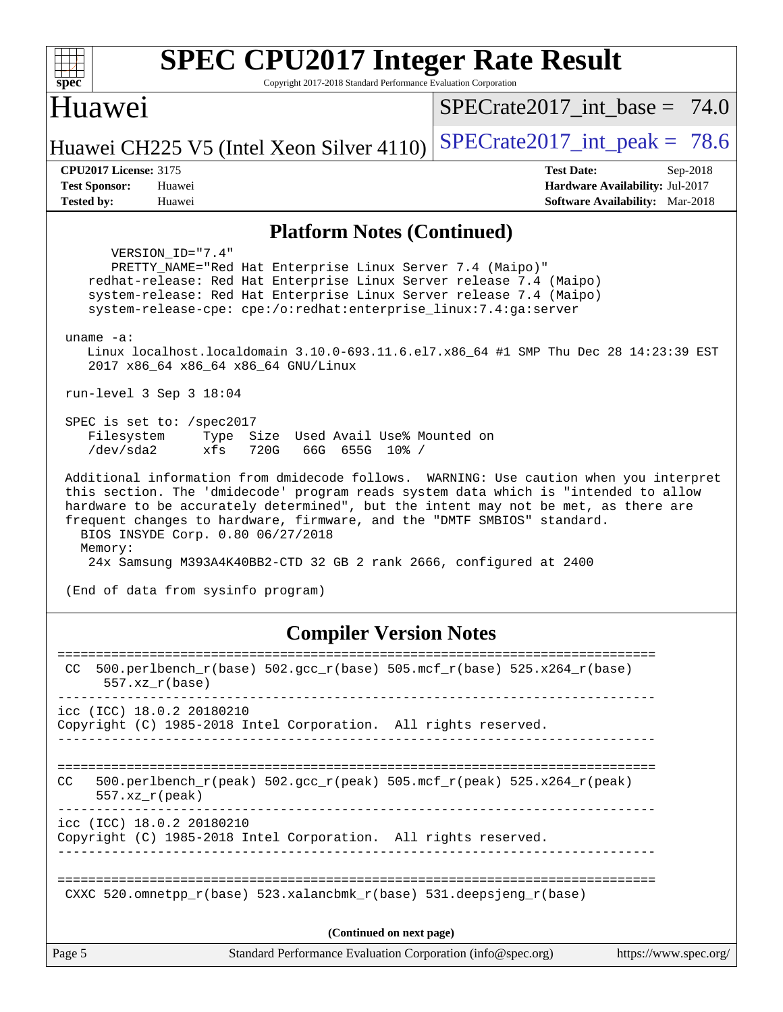| <b>SPEC CPU2017 Integer Rate Result</b><br>$spec^*$<br>Copyright 2017-2018 Standard Performance Evaluation Corporation                                                                                                                                                                                                                                                                                                                                                                                                                                                                                                                                                                                                                                                                                                                                                                                                                                                                                                                                                                  |                                                                                                            |
|-----------------------------------------------------------------------------------------------------------------------------------------------------------------------------------------------------------------------------------------------------------------------------------------------------------------------------------------------------------------------------------------------------------------------------------------------------------------------------------------------------------------------------------------------------------------------------------------------------------------------------------------------------------------------------------------------------------------------------------------------------------------------------------------------------------------------------------------------------------------------------------------------------------------------------------------------------------------------------------------------------------------------------------------------------------------------------------------|------------------------------------------------------------------------------------------------------------|
| Huawei                                                                                                                                                                                                                                                                                                                                                                                                                                                                                                                                                                                                                                                                                                                                                                                                                                                                                                                                                                                                                                                                                  | $SPECTate2017$ _int_base = 74.0                                                                            |
| Huawei CH225 V5 (Intel Xeon Silver 4110)                                                                                                                                                                                                                                                                                                                                                                                                                                                                                                                                                                                                                                                                                                                                                                                                                                                                                                                                                                                                                                                | $SPECrate2017\_int\_peak = 78.6$                                                                           |
| <b>CPU2017 License: 3175</b><br><b>Test Sponsor:</b><br>Huawei<br><b>Tested by:</b><br>Huawei                                                                                                                                                                                                                                                                                                                                                                                                                                                                                                                                                                                                                                                                                                                                                                                                                                                                                                                                                                                           | <b>Test Date:</b><br>Sep-2018<br>Hardware Availability: Jul-2017<br><b>Software Availability:</b> Mar-2018 |
| <b>Platform Notes (Continued)</b>                                                                                                                                                                                                                                                                                                                                                                                                                                                                                                                                                                                                                                                                                                                                                                                                                                                                                                                                                                                                                                                       |                                                                                                            |
| VERSION_ID="7.4"<br>PRETTY_NAME="Red Hat Enterprise Linux Server 7.4 (Maipo)"<br>redhat-release: Red Hat Enterprise Linux Server release 7.4 (Maipo)<br>system-release: Red Hat Enterprise Linux Server release 7.4 (Maipo)<br>system-release-cpe: cpe:/o:redhat:enterprise_linux:7.4:ga:server<br>$uname -a$ :<br>Linux localhost.localdomain 3.10.0-693.11.6.el7.x86_64 #1 SMP Thu Dec 28 14:23:39 EST<br>2017 x86_64 x86_64 x86_64 GNU/Linux<br>run-level $3$ Sep $3$ 18:04<br>SPEC is set to: /spec2017<br>Filesystem<br>Type Size Used Avail Use% Mounted on<br>/dev/sda2<br>xfs<br>720G<br>66G 655G 10% /<br>Additional information from dmidecode follows. WARNING: Use caution when you interpret<br>this section. The 'dmidecode' program reads system data which is "intended to allow<br>hardware to be accurately determined", but the intent may not be met, as there are<br>frequent changes to hardware, firmware, and the "DMTF SMBIOS" standard.<br>BIOS INSYDE Corp. 0.80 06/27/2018<br>Memory:<br>24x Samsung M393A4K40BB2-CTD 32 GB 2 rank 2666, configured at 2400 |                                                                                                            |
| (End of data from sysinfo program)                                                                                                                                                                                                                                                                                                                                                                                                                                                                                                                                                                                                                                                                                                                                                                                                                                                                                                                                                                                                                                                      |                                                                                                            |
| <b>Compiler Version Notes</b>                                                                                                                                                                                                                                                                                                                                                                                                                                                                                                                                                                                                                                                                                                                                                                                                                                                                                                                                                                                                                                                           |                                                                                                            |
| 500.perlbench_r(base) 502.gcc_r(base) 505.mcf_r(base) 525.x264_r(base)<br>CC.<br>$557. xz_r(base)$<br>icc (ICC) 18.0.2 20180210<br>Copyright (C) 1985-2018 Intel Corporation. All rights reserved.                                                                                                                                                                                                                                                                                                                                                                                                                                                                                                                                                                                                                                                                                                                                                                                                                                                                                      |                                                                                                            |
| $500. perlbench_r (peak) 502. gcc_r (peak) 505. mcf_r (peak) 525. x264_r (peak)$<br>CC.<br>$557. xz_r (peak)$                                                                                                                                                                                                                                                                                                                                                                                                                                                                                                                                                                                                                                                                                                                                                                                                                                                                                                                                                                           |                                                                                                            |
| icc (ICC) 18.0.2 20180210<br>Copyright (C) 1985-2018 Intel Corporation. All rights reserved.                                                                                                                                                                                                                                                                                                                                                                                                                                                                                                                                                                                                                                                                                                                                                                                                                                                                                                                                                                                            |                                                                                                            |
| CXXC $520.\text{omnetpp_r(base)}$ $523.\text{xalancbmk_r(base)}$ $531.\text{deepsjeng_r(base)}$                                                                                                                                                                                                                                                                                                                                                                                                                                                                                                                                                                                                                                                                                                                                                                                                                                                                                                                                                                                         |                                                                                                            |
| (Continued on next page)                                                                                                                                                                                                                                                                                                                                                                                                                                                                                                                                                                                                                                                                                                                                                                                                                                                                                                                                                                                                                                                                |                                                                                                            |
| Page 5<br>Standard Performance Evaluation Corporation (info@spec.org)                                                                                                                                                                                                                                                                                                                                                                                                                                                                                                                                                                                                                                                                                                                                                                                                                                                                                                                                                                                                                   | https://www.spec.org/                                                                                      |
|                                                                                                                                                                                                                                                                                                                                                                                                                                                                                                                                                                                                                                                                                                                                                                                                                                                                                                                                                                                                                                                                                         |                                                                                                            |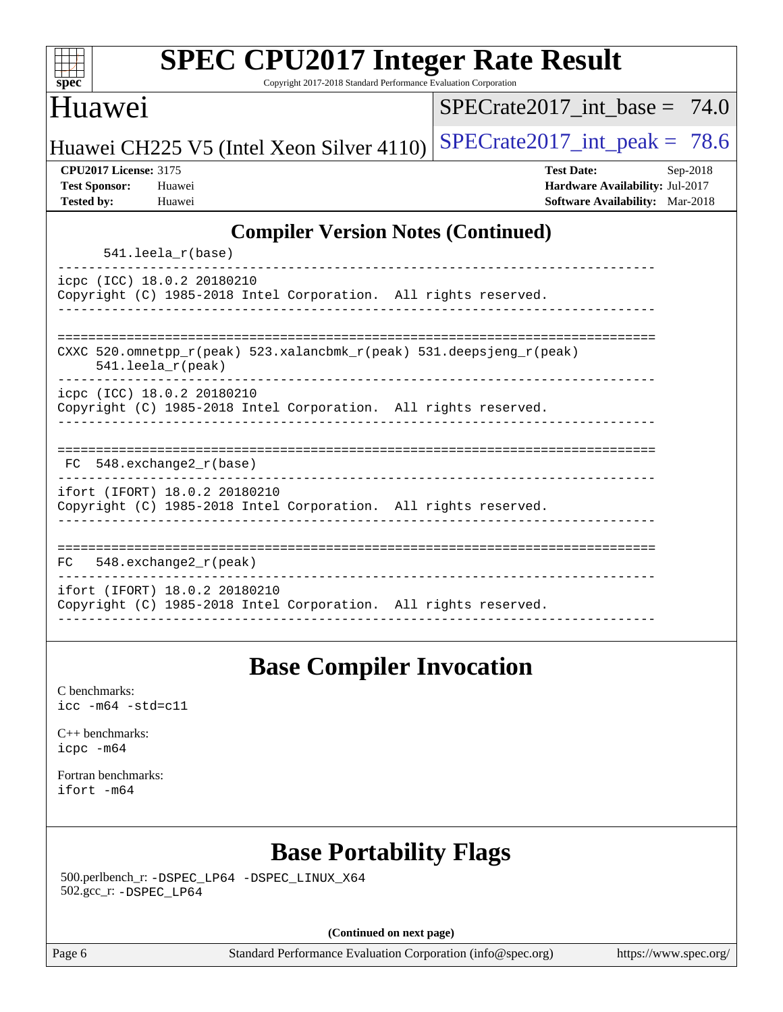| spec |  |  |  |
|------|--|--|--|

Copyright 2017-2018 Standard Performance Evaluation Corporation

#### Huawei

[SPECrate2017\\_int\\_base =](http://www.spec.org/auto/cpu2017/Docs/result-fields.html#SPECrate2017intbase) 74.0

Huawei CH225 V5 (Intel Xeon Silver 4110) SPECrate  $2017$ \_int\_peak = 78.6

**[CPU2017 License:](http://www.spec.org/auto/cpu2017/Docs/result-fields.html#CPU2017License)** 3175 **[Test Date:](http://www.spec.org/auto/cpu2017/Docs/result-fields.html#TestDate)** Sep-2018 **[Test Sponsor:](http://www.spec.org/auto/cpu2017/Docs/result-fields.html#TestSponsor)** Huawei **[Hardware Availability:](http://www.spec.org/auto/cpu2017/Docs/result-fields.html#HardwareAvailability)** Jul-2017 **[Tested by:](http://www.spec.org/auto/cpu2017/Docs/result-fields.html#Testedby)** Huawei **[Software Availability:](http://www.spec.org/auto/cpu2017/Docs/result-fields.html#SoftwareAvailability)** Mar-2018

#### **[Compiler Version Notes \(Continued\)](http://www.spec.org/auto/cpu2017/Docs/result-fields.html#CompilerVersionNotes)**

|  |  |  | $541.$ leela r(base) |
|--|--|--|----------------------|
|--|--|--|----------------------|

----------------------------------------------------------------------------- icpc (ICC) 18.0.2 20180210 Copyright (C) 1985-2018 Intel Corporation. All rights reserved. ------------------------------------------------------------------------------

|  | CXXC 520.omnetpp_r(peak) 523.xalancbmk_r(peak) 531.deepsjeng_r(peak) |  |
|--|----------------------------------------------------------------------|--|

541.leela\_r(peak)

----------------------------------------------------------------------------- icpc (ICC) 18.0.2 20180210

Copyright (C) 1985-2018 Intel Corporation. All rights reserved. ------------------------------------------------------------------------------

| FC 548.exchange2 r(base) |  |  |
|--------------------------|--|--|

----------------------------------------------------------------------------- ifort (IFORT) 18.0.2 20180210

Copyright (C) 1985-2018 Intel Corporation. All rights reserved. ------------------------------------------------------------------------------

============================================================================== FC 548.exchange2\_r(peak) ----------------------------------------------------------------------------- ifort (IFORT) 18.0.2 20180210 Copyright (C) 1985-2018 Intel Corporation. All rights reserved. ------------------------------------------------------------------------------

## **[Base Compiler Invocation](http://www.spec.org/auto/cpu2017/Docs/result-fields.html#BaseCompilerInvocation)**

[C benchmarks](http://www.spec.org/auto/cpu2017/Docs/result-fields.html#Cbenchmarks): [icc -m64 -std=c11](http://www.spec.org/cpu2017/results/res2018q4/cpu2017-20180911-08841.flags.html#user_CCbase_intel_icc_64bit_c11_33ee0cdaae7deeeab2a9725423ba97205ce30f63b9926c2519791662299b76a0318f32ddfffdc46587804de3178b4f9328c46fa7c2b0cd779d7a61945c91cd35)

[C++ benchmarks:](http://www.spec.org/auto/cpu2017/Docs/result-fields.html#CXXbenchmarks) [icpc -m64](http://www.spec.org/cpu2017/results/res2018q4/cpu2017-20180911-08841.flags.html#user_CXXbase_intel_icpc_64bit_4ecb2543ae3f1412ef961e0650ca070fec7b7afdcd6ed48761b84423119d1bf6bdf5cad15b44d48e7256388bc77273b966e5eb805aefd121eb22e9299b2ec9d9)

[Fortran benchmarks](http://www.spec.org/auto/cpu2017/Docs/result-fields.html#Fortranbenchmarks): [ifort -m64](http://www.spec.org/cpu2017/results/res2018q4/cpu2017-20180911-08841.flags.html#user_FCbase_intel_ifort_64bit_24f2bb282fbaeffd6157abe4f878425411749daecae9a33200eee2bee2fe76f3b89351d69a8130dd5949958ce389cf37ff59a95e7a40d588e8d3a57e0c3fd751)

## **[Base Portability Flags](http://www.spec.org/auto/cpu2017/Docs/result-fields.html#BasePortabilityFlags)**

 500.perlbench\_r: [-DSPEC\\_LP64](http://www.spec.org/cpu2017/results/res2018q4/cpu2017-20180911-08841.flags.html#b500.perlbench_r_basePORTABILITY_DSPEC_LP64) [-DSPEC\\_LINUX\\_X64](http://www.spec.org/cpu2017/results/res2018q4/cpu2017-20180911-08841.flags.html#b500.perlbench_r_baseCPORTABILITY_DSPEC_LINUX_X64) 502.gcc\_r: [-DSPEC\\_LP64](http://www.spec.org/cpu2017/results/res2018q4/cpu2017-20180911-08841.flags.html#suite_basePORTABILITY502_gcc_r_DSPEC_LP64)

**(Continued on next page)**

Page 6 Standard Performance Evaluation Corporation [\(info@spec.org\)](mailto:info@spec.org) <https://www.spec.org/>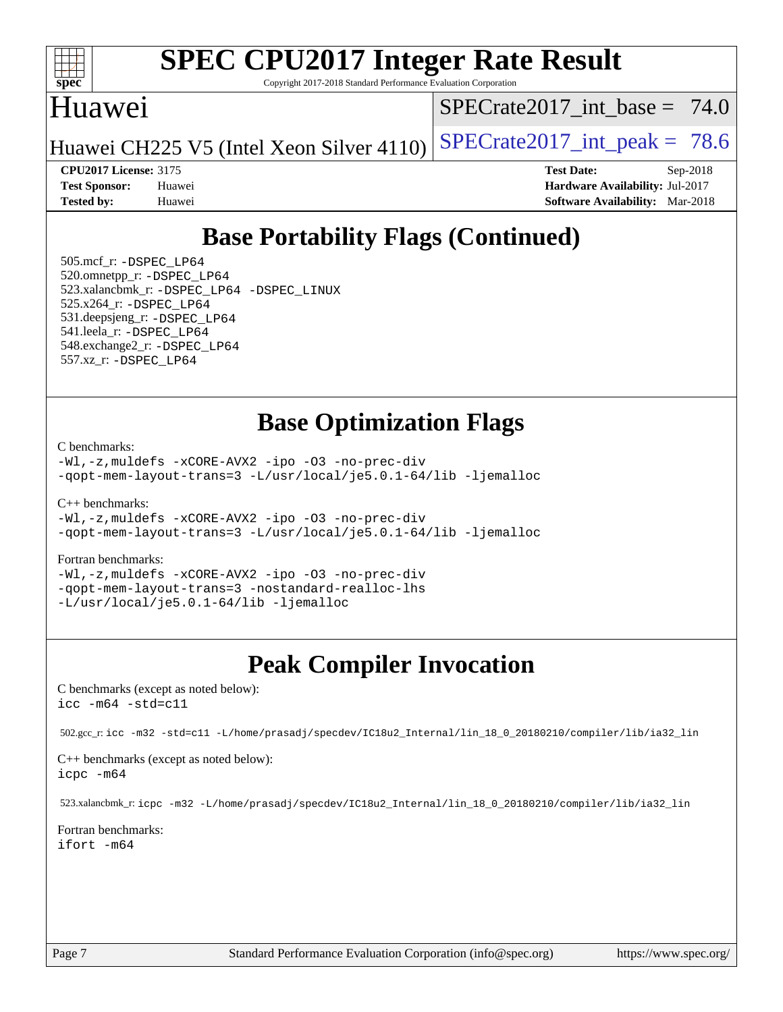

Copyright 2017-2018 Standard Performance Evaluation Corporation

### Huawei

SPECrate2017 int\_base =  $74.0$ 

Huawei CH225 V5 (Intel Xeon Silver 4110) SPECrate  $2017$ \_int\_peak = 78.6

**[Tested by:](http://www.spec.org/auto/cpu2017/Docs/result-fields.html#Testedby)** Huawei **[Software Availability:](http://www.spec.org/auto/cpu2017/Docs/result-fields.html#SoftwareAvailability)** Mar-2018

**[CPU2017 License:](http://www.spec.org/auto/cpu2017/Docs/result-fields.html#CPU2017License)** 3175 **[Test Date:](http://www.spec.org/auto/cpu2017/Docs/result-fields.html#TestDate)** Sep-2018 **[Test Sponsor:](http://www.spec.org/auto/cpu2017/Docs/result-fields.html#TestSponsor)** Huawei **[Hardware Availability:](http://www.spec.org/auto/cpu2017/Docs/result-fields.html#HardwareAvailability)** Jul-2017

## **[Base Portability Flags \(Continued\)](http://www.spec.org/auto/cpu2017/Docs/result-fields.html#BasePortabilityFlags)**

 505.mcf\_r: [-DSPEC\\_LP64](http://www.spec.org/cpu2017/results/res2018q4/cpu2017-20180911-08841.flags.html#suite_basePORTABILITY505_mcf_r_DSPEC_LP64) 520.omnetpp\_r: [-DSPEC\\_LP64](http://www.spec.org/cpu2017/results/res2018q4/cpu2017-20180911-08841.flags.html#suite_basePORTABILITY520_omnetpp_r_DSPEC_LP64) 523.xalancbmk\_r: [-DSPEC\\_LP64](http://www.spec.org/cpu2017/results/res2018q4/cpu2017-20180911-08841.flags.html#suite_basePORTABILITY523_xalancbmk_r_DSPEC_LP64) [-DSPEC\\_LINUX](http://www.spec.org/cpu2017/results/res2018q4/cpu2017-20180911-08841.flags.html#b523.xalancbmk_r_baseCXXPORTABILITY_DSPEC_LINUX) 525.x264\_r: [-DSPEC\\_LP64](http://www.spec.org/cpu2017/results/res2018q4/cpu2017-20180911-08841.flags.html#suite_basePORTABILITY525_x264_r_DSPEC_LP64) 531.deepsjeng\_r: [-DSPEC\\_LP64](http://www.spec.org/cpu2017/results/res2018q4/cpu2017-20180911-08841.flags.html#suite_basePORTABILITY531_deepsjeng_r_DSPEC_LP64) 541.leela\_r: [-DSPEC\\_LP64](http://www.spec.org/cpu2017/results/res2018q4/cpu2017-20180911-08841.flags.html#suite_basePORTABILITY541_leela_r_DSPEC_LP64) 548.exchange2\_r: [-DSPEC\\_LP64](http://www.spec.org/cpu2017/results/res2018q4/cpu2017-20180911-08841.flags.html#suite_basePORTABILITY548_exchange2_r_DSPEC_LP64) 557.xz\_r: [-DSPEC\\_LP64](http://www.spec.org/cpu2017/results/res2018q4/cpu2017-20180911-08841.flags.html#suite_basePORTABILITY557_xz_r_DSPEC_LP64)

#### **[Base Optimization Flags](http://www.spec.org/auto/cpu2017/Docs/result-fields.html#BaseOptimizationFlags)**

[C benchmarks](http://www.spec.org/auto/cpu2017/Docs/result-fields.html#Cbenchmarks):

[-Wl,-z,muldefs](http://www.spec.org/cpu2017/results/res2018q4/cpu2017-20180911-08841.flags.html#user_CCbase_link_force_multiple1_b4cbdb97b34bdee9ceefcfe54f4c8ea74255f0b02a4b23e853cdb0e18eb4525ac79b5a88067c842dd0ee6996c24547a27a4b99331201badda8798ef8a743f577) [-xCORE-AVX2](http://www.spec.org/cpu2017/results/res2018q4/cpu2017-20180911-08841.flags.html#user_CCbase_f-xCORE-AVX2) [-ipo](http://www.spec.org/cpu2017/results/res2018q4/cpu2017-20180911-08841.flags.html#user_CCbase_f-ipo) [-O3](http://www.spec.org/cpu2017/results/res2018q4/cpu2017-20180911-08841.flags.html#user_CCbase_f-O3) [-no-prec-div](http://www.spec.org/cpu2017/results/res2018q4/cpu2017-20180911-08841.flags.html#user_CCbase_f-no-prec-div) [-qopt-mem-layout-trans=3](http://www.spec.org/cpu2017/results/res2018q4/cpu2017-20180911-08841.flags.html#user_CCbase_f-qopt-mem-layout-trans_de80db37974c74b1f0e20d883f0b675c88c3b01e9d123adea9b28688d64333345fb62bc4a798493513fdb68f60282f9a726aa07f478b2f7113531aecce732043) [-L/usr/local/je5.0.1-64/lib](http://www.spec.org/cpu2017/results/res2018q4/cpu2017-20180911-08841.flags.html#user_CCbase_jemalloc_link_path64_4b10a636b7bce113509b17f3bd0d6226c5fb2346b9178c2d0232c14f04ab830f976640479e5c33dc2bcbbdad86ecfb6634cbbd4418746f06f368b512fced5394) [-ljemalloc](http://www.spec.org/cpu2017/results/res2018q4/cpu2017-20180911-08841.flags.html#user_CCbase_jemalloc_link_lib_d1249b907c500fa1c0672f44f562e3d0f79738ae9e3c4a9c376d49f265a04b9c99b167ecedbf6711b3085be911c67ff61f150a17b3472be731631ba4d0471706)

[C++ benchmarks:](http://www.spec.org/auto/cpu2017/Docs/result-fields.html#CXXbenchmarks)

[-Wl,-z,muldefs](http://www.spec.org/cpu2017/results/res2018q4/cpu2017-20180911-08841.flags.html#user_CXXbase_link_force_multiple1_b4cbdb97b34bdee9ceefcfe54f4c8ea74255f0b02a4b23e853cdb0e18eb4525ac79b5a88067c842dd0ee6996c24547a27a4b99331201badda8798ef8a743f577) [-xCORE-AVX2](http://www.spec.org/cpu2017/results/res2018q4/cpu2017-20180911-08841.flags.html#user_CXXbase_f-xCORE-AVX2) [-ipo](http://www.spec.org/cpu2017/results/res2018q4/cpu2017-20180911-08841.flags.html#user_CXXbase_f-ipo) [-O3](http://www.spec.org/cpu2017/results/res2018q4/cpu2017-20180911-08841.flags.html#user_CXXbase_f-O3) [-no-prec-div](http://www.spec.org/cpu2017/results/res2018q4/cpu2017-20180911-08841.flags.html#user_CXXbase_f-no-prec-div) [-qopt-mem-layout-trans=3](http://www.spec.org/cpu2017/results/res2018q4/cpu2017-20180911-08841.flags.html#user_CXXbase_f-qopt-mem-layout-trans_de80db37974c74b1f0e20d883f0b675c88c3b01e9d123adea9b28688d64333345fb62bc4a798493513fdb68f60282f9a726aa07f478b2f7113531aecce732043) [-L/usr/local/je5.0.1-64/lib](http://www.spec.org/cpu2017/results/res2018q4/cpu2017-20180911-08841.flags.html#user_CXXbase_jemalloc_link_path64_4b10a636b7bce113509b17f3bd0d6226c5fb2346b9178c2d0232c14f04ab830f976640479e5c33dc2bcbbdad86ecfb6634cbbd4418746f06f368b512fced5394) [-ljemalloc](http://www.spec.org/cpu2017/results/res2018q4/cpu2017-20180911-08841.flags.html#user_CXXbase_jemalloc_link_lib_d1249b907c500fa1c0672f44f562e3d0f79738ae9e3c4a9c376d49f265a04b9c99b167ecedbf6711b3085be911c67ff61f150a17b3472be731631ba4d0471706)

#### [Fortran benchmarks](http://www.spec.org/auto/cpu2017/Docs/result-fields.html#Fortranbenchmarks):

[-Wl,-z,muldefs](http://www.spec.org/cpu2017/results/res2018q4/cpu2017-20180911-08841.flags.html#user_FCbase_link_force_multiple1_b4cbdb97b34bdee9ceefcfe54f4c8ea74255f0b02a4b23e853cdb0e18eb4525ac79b5a88067c842dd0ee6996c24547a27a4b99331201badda8798ef8a743f577) [-xCORE-AVX2](http://www.spec.org/cpu2017/results/res2018q4/cpu2017-20180911-08841.flags.html#user_FCbase_f-xCORE-AVX2) [-ipo](http://www.spec.org/cpu2017/results/res2018q4/cpu2017-20180911-08841.flags.html#user_FCbase_f-ipo) [-O3](http://www.spec.org/cpu2017/results/res2018q4/cpu2017-20180911-08841.flags.html#user_FCbase_f-O3) [-no-prec-div](http://www.spec.org/cpu2017/results/res2018q4/cpu2017-20180911-08841.flags.html#user_FCbase_f-no-prec-div) [-qopt-mem-layout-trans=3](http://www.spec.org/cpu2017/results/res2018q4/cpu2017-20180911-08841.flags.html#user_FCbase_f-qopt-mem-layout-trans_de80db37974c74b1f0e20d883f0b675c88c3b01e9d123adea9b28688d64333345fb62bc4a798493513fdb68f60282f9a726aa07f478b2f7113531aecce732043) [-nostandard-realloc-lhs](http://www.spec.org/cpu2017/results/res2018q4/cpu2017-20180911-08841.flags.html#user_FCbase_f_2003_std_realloc_82b4557e90729c0f113870c07e44d33d6f5a304b4f63d4c15d2d0f1fab99f5daaed73bdb9275d9ae411527f28b936061aa8b9c8f2d63842963b95c9dd6426b8a) [-L/usr/local/je5.0.1-64/lib](http://www.spec.org/cpu2017/results/res2018q4/cpu2017-20180911-08841.flags.html#user_FCbase_jemalloc_link_path64_4b10a636b7bce113509b17f3bd0d6226c5fb2346b9178c2d0232c14f04ab830f976640479e5c33dc2bcbbdad86ecfb6634cbbd4418746f06f368b512fced5394) [-ljemalloc](http://www.spec.org/cpu2017/results/res2018q4/cpu2017-20180911-08841.flags.html#user_FCbase_jemalloc_link_lib_d1249b907c500fa1c0672f44f562e3d0f79738ae9e3c4a9c376d49f265a04b9c99b167ecedbf6711b3085be911c67ff61f150a17b3472be731631ba4d0471706)

## **[Peak Compiler Invocation](http://www.spec.org/auto/cpu2017/Docs/result-fields.html#PeakCompilerInvocation)**

[C benchmarks \(except as noted below\)](http://www.spec.org/auto/cpu2017/Docs/result-fields.html#Cbenchmarksexceptasnotedbelow): [icc -m64 -std=c11](http://www.spec.org/cpu2017/results/res2018q4/cpu2017-20180911-08841.flags.html#user_CCpeak_intel_icc_64bit_c11_33ee0cdaae7deeeab2a9725423ba97205ce30f63b9926c2519791662299b76a0318f32ddfffdc46587804de3178b4f9328c46fa7c2b0cd779d7a61945c91cd35)

502.gcc\_r: [icc -m32 -std=c11 -L/home/prasadj/specdev/IC18u2\\_Internal/lin\\_18\\_0\\_20180210/compiler/lib/ia32\\_lin](http://www.spec.org/cpu2017/results/res2018q4/cpu2017-20180911-08841.flags.html#user_peakCCLD502_gcc_r_intel_icc_a481ac844e7127046fad14d498c730a1848fa901fbbb2c3dfdd5e9fbbac777c8009953946d55d8b6afe8ed0da70dd2b4f8dedbdf7ab1ee211ba70d24a5d89f85)

[C++ benchmarks \(except as noted below\):](http://www.spec.org/auto/cpu2017/Docs/result-fields.html#CXXbenchmarksexceptasnotedbelow) [icpc -m64](http://www.spec.org/cpu2017/results/res2018q4/cpu2017-20180911-08841.flags.html#user_CXXpeak_intel_icpc_64bit_4ecb2543ae3f1412ef961e0650ca070fec7b7afdcd6ed48761b84423119d1bf6bdf5cad15b44d48e7256388bc77273b966e5eb805aefd121eb22e9299b2ec9d9)

523.xalancbmk\_r: [icpc -m32 -L/home/prasadj/specdev/IC18u2\\_Internal/lin\\_18\\_0\\_20180210/compiler/lib/ia32\\_lin](http://www.spec.org/cpu2017/results/res2018q4/cpu2017-20180911-08841.flags.html#user_peakCXXLD523_xalancbmk_r_intel_icpc_c6d030cd79af6ea7d6fb64c57e8fe7ae8fe0b96fc5a3b3f4a10e3273b3d7fa9decd8263f6330cef23f751cb093a69fae84a2bf4c243500a8eed069248128076f)

[Fortran benchmarks](http://www.spec.org/auto/cpu2017/Docs/result-fields.html#Fortranbenchmarks): [ifort -m64](http://www.spec.org/cpu2017/results/res2018q4/cpu2017-20180911-08841.flags.html#user_FCpeak_intel_ifort_64bit_24f2bb282fbaeffd6157abe4f878425411749daecae9a33200eee2bee2fe76f3b89351d69a8130dd5949958ce389cf37ff59a95e7a40d588e8d3a57e0c3fd751)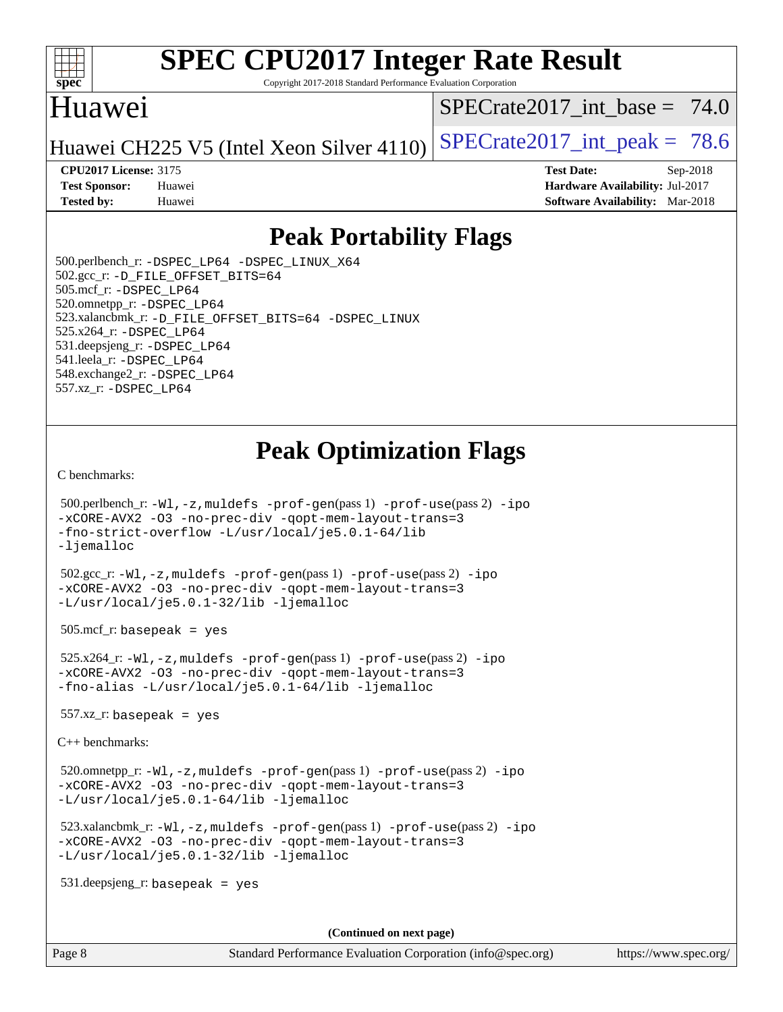

Copyright 2017-2018 Standard Performance Evaluation Corporation

### Huawei

SPECrate2017 int\_base =  $74.0$ 

Huawei CH225 V5 (Intel Xeon Silver 4110) SPECrate  $2017$ \_int\_peak = 78.6

**[Tested by:](http://www.spec.org/auto/cpu2017/Docs/result-fields.html#Testedby)** Huawei **[Software Availability:](http://www.spec.org/auto/cpu2017/Docs/result-fields.html#SoftwareAvailability)** Mar-2018

**[CPU2017 License:](http://www.spec.org/auto/cpu2017/Docs/result-fields.html#CPU2017License)** 3175 **[Test Date:](http://www.spec.org/auto/cpu2017/Docs/result-fields.html#TestDate)** Sep-2018 **[Test Sponsor:](http://www.spec.org/auto/cpu2017/Docs/result-fields.html#TestSponsor)** Huawei **[Hardware Availability:](http://www.spec.org/auto/cpu2017/Docs/result-fields.html#HardwareAvailability)** Jul-2017

## **[Peak Portability Flags](http://www.spec.org/auto/cpu2017/Docs/result-fields.html#PeakPortabilityFlags)**

 500.perlbench\_r: [-DSPEC\\_LP64](http://www.spec.org/cpu2017/results/res2018q4/cpu2017-20180911-08841.flags.html#b500.perlbench_r_peakPORTABILITY_DSPEC_LP64) [-DSPEC\\_LINUX\\_X64](http://www.spec.org/cpu2017/results/res2018q4/cpu2017-20180911-08841.flags.html#b500.perlbench_r_peakCPORTABILITY_DSPEC_LINUX_X64) 502.gcc\_r: [-D\\_FILE\\_OFFSET\\_BITS=64](http://www.spec.org/cpu2017/results/res2018q4/cpu2017-20180911-08841.flags.html#user_peakPORTABILITY502_gcc_r_file_offset_bits_64_5ae949a99b284ddf4e95728d47cb0843d81b2eb0e18bdfe74bbf0f61d0b064f4bda2f10ea5eb90e1dcab0e84dbc592acfc5018bc955c18609f94ddb8d550002c) 505.mcf\_r: [-DSPEC\\_LP64](http://www.spec.org/cpu2017/results/res2018q4/cpu2017-20180911-08841.flags.html#suite_peakPORTABILITY505_mcf_r_DSPEC_LP64) 520.omnetpp\_r: [-DSPEC\\_LP64](http://www.spec.org/cpu2017/results/res2018q4/cpu2017-20180911-08841.flags.html#suite_peakPORTABILITY520_omnetpp_r_DSPEC_LP64) 523.xalancbmk\_r: [-D\\_FILE\\_OFFSET\\_BITS=64](http://www.spec.org/cpu2017/results/res2018q4/cpu2017-20180911-08841.flags.html#user_peakPORTABILITY523_xalancbmk_r_file_offset_bits_64_5ae949a99b284ddf4e95728d47cb0843d81b2eb0e18bdfe74bbf0f61d0b064f4bda2f10ea5eb90e1dcab0e84dbc592acfc5018bc955c18609f94ddb8d550002c) [-DSPEC\\_LINUX](http://www.spec.org/cpu2017/results/res2018q4/cpu2017-20180911-08841.flags.html#b523.xalancbmk_r_peakCXXPORTABILITY_DSPEC_LINUX) 525.x264\_r: [-DSPEC\\_LP64](http://www.spec.org/cpu2017/results/res2018q4/cpu2017-20180911-08841.flags.html#suite_peakPORTABILITY525_x264_r_DSPEC_LP64) 531.deepsjeng\_r: [-DSPEC\\_LP64](http://www.spec.org/cpu2017/results/res2018q4/cpu2017-20180911-08841.flags.html#suite_peakPORTABILITY531_deepsjeng_r_DSPEC_LP64) 541.leela\_r: [-DSPEC\\_LP64](http://www.spec.org/cpu2017/results/res2018q4/cpu2017-20180911-08841.flags.html#suite_peakPORTABILITY541_leela_r_DSPEC_LP64) 548.exchange2\_r: [-DSPEC\\_LP64](http://www.spec.org/cpu2017/results/res2018q4/cpu2017-20180911-08841.flags.html#suite_peakPORTABILITY548_exchange2_r_DSPEC_LP64) 557.xz\_r: [-DSPEC\\_LP64](http://www.spec.org/cpu2017/results/res2018q4/cpu2017-20180911-08841.flags.html#suite_peakPORTABILITY557_xz_r_DSPEC_LP64)

## **[Peak Optimization Flags](http://www.spec.org/auto/cpu2017/Docs/result-fields.html#PeakOptimizationFlags)**

[C benchmarks](http://www.spec.org/auto/cpu2017/Docs/result-fields.html#Cbenchmarks):

```
 500.perlbench_r: -Wl,-z,muldefs -prof-gen(pass 1) -prof-use(pass 2) -ipo
-xCORE-AVX2 -O3 -no-prec-div -qopt-mem-layout-trans=3
-fno-strict-overflow -L/usr/local/je5.0.1-64/lib
-ljemalloc
 502.gcc_r: -Wl,-z,muldefs -prof-gen(pass 1) -prof-use(pass 2) -ipo
-xCORE-AVX2 -O3 -no-prec-div -qopt-mem-layout-trans=3
-L/usr/local/je5.0.1-32/lib -ljemalloc
505.\text{mcf}_r: basepeak = yes
 525.x264_r: -Wl,-z,muldefs -prof-gen(pass 1) -prof-use(pass 2) -ipo
-xCORE-AVX2 -O3 -no-prec-div -qopt-mem-layout-trans=3
-fno-alias -L/usr/local/je5.0.1-64/lib -ljemalloc
557.xz r: basepeak = yes
C++ benchmarks: 
 520.omnetpp_r: -Wl,-z,muldefs -prof-gen(pass 1) -prof-use(pass 2) -ipo
-xCORE-AVX2 -O3 -no-prec-div -qopt-mem-layout-trans=3
-L/usr/local/je5.0.1-64/lib -ljemalloc
 523.xalancbmk_r: -Wl,-z,muldefs -prof-gen(pass 1) -prof-use(pass 2) -ipo
-xCORE-AVX2 -O3 -no-prec-div -qopt-mem-layout-trans=3
-L/usr/local/je5.0.1-32/lib -ljemalloc
 531.deepsjeng_r: basepeak = yes
```
**(Continued on next page)**